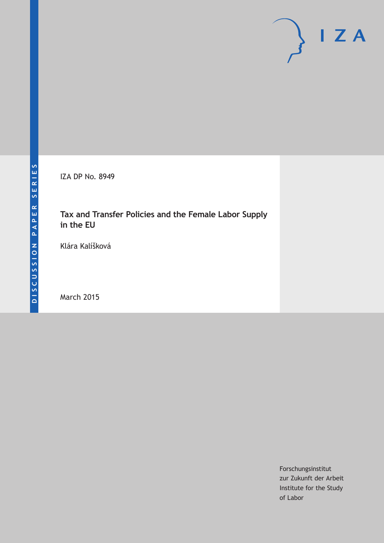IZA DP No. 8949

# **Tax and Transfer Policies and the Female Labor Supply in the EU**

Klára Kalíšková

March 2015

Forschungsinstitut zur Zukunft der Arbeit Institute for the Study of Labor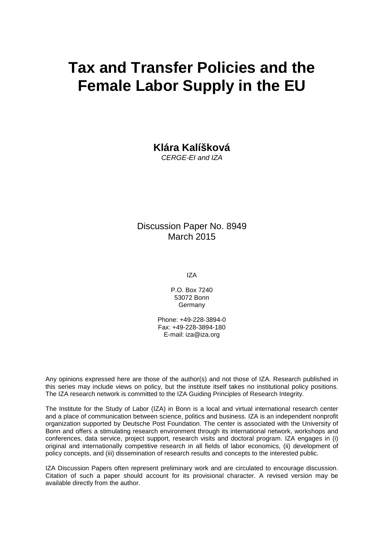# **Tax and Transfer Policies and the Female Labor Supply in the EU**

**Klára Kalíšková**

*CERGE-EI and IZA*

Discussion Paper No. 8949 March 2015

IZA

P.O. Box 7240 53072 Bonn **Germany** 

Phone: +49-228-3894-0 Fax: +49-228-3894-180 E-mail: iza@iza.org

Any opinions expressed here are those of the author(s) and not those of IZA. Research published in this series may include views on policy, but the institute itself takes no institutional policy positions. The IZA research network is committed to the IZA Guiding Principles of Research Integrity.

The Institute for the Study of Labor (IZA) in Bonn is a local and virtual international research center and a place of communication between science, politics and business. IZA is an independent nonprofit organization supported by Deutsche Post Foundation. The center is associated with the University of Bonn and offers a stimulating research environment through its international network, workshops and conferences, data service, project support, research visits and doctoral program. IZA engages in (i) original and internationally competitive research in all fields of labor economics, (ii) development of policy concepts, and (iii) dissemination of research results and concepts to the interested public.

<span id="page-1-0"></span>IZA Discussion Papers often represent preliminary work and are circulated to encourage discussion. Citation of such a paper should account for its provisional character. A revised version may be available directly from the author.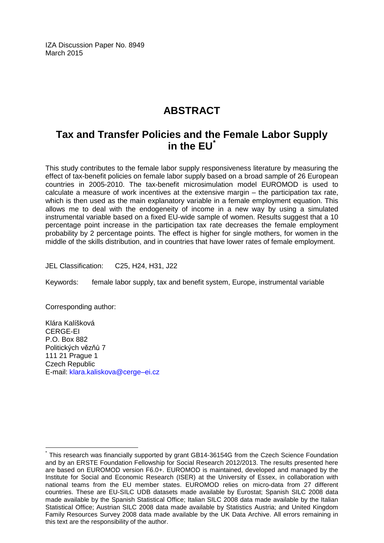IZA Discussion Paper No. 8949 March 2015

# **ABSTRACT**

# **Tax and Transfer Policies and the Female Labor Supply in the EU[\\*](#page-1-0)**

This study contributes to the female labor supply responsiveness literature by measuring the effect of tax-benefit policies on female labor supply based on a broad sample of 26 European countries in 2005-2010. The tax-benefit microsimulation model EUROMOD is used to calculate a measure of work incentives at the extensive margin – the participation tax rate, which is then used as the main explanatory variable in a female employment equation. This allows me to deal with the endogeneity of income in a new way by using a simulated instrumental variable based on a fixed EU-wide sample of women. Results suggest that a 10 percentage point increase in the participation tax rate decreases the female employment probability by 2 percentage points. The effect is higher for single mothers, for women in the middle of the skills distribution, and in countries that have lower rates of female employment.

JEL Classification: C25, H24, H31, J22

Keywords: female labor supply, tax and benefit system, Europe, instrumental variable

Corresponding author:

Klára Kalíšková CERGE-EI P.O. Box 882 Politických vězňů 7 111 21 Prague 1 Czech Republic E-mail: [klara.kaliskova@cerge–ei.cz](mailto:klara.kaliskova@cerge–ei.cz)

This research was financially supported by grant GB14-36154G from the Czech Science Foundation and by an ERSTE Foundation Fellowship for Social Research 2012/2013. The results presented here are based on EUROMOD version F6.0+. EUROMOD is maintained, developed and managed by the Institute for Social and Economic Research (ISER) at the University of Essex, in collaboration with national teams from the EU member states. EUROMOD relies on micro-data from 27 different countries. These are EU-SILC UDB datasets made available by Eurostat; Spanish SILC 2008 data made available by the Spanish Statistical Office; Italian SILC 2008 data made available by the Italian Statistical Office; Austrian SILC 2008 data made available by Statistics Austria; and United Kingdom Family Resources Survey 2008 data made available by the UK Data Archive. All errors remaining in this text are the responsibility of the author.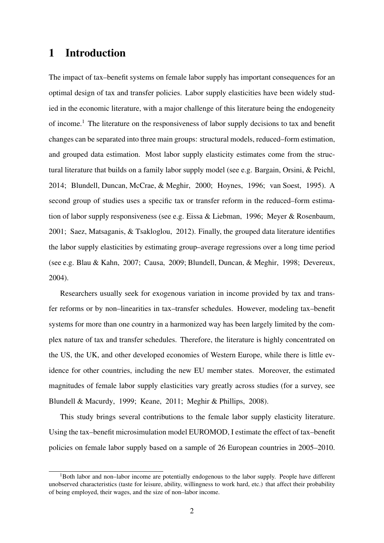### 1 Introduction

The impact of tax–benefit systems on female labor supply has important consequences for an optimal design of tax and transfer policies. Labor supply elasticities have been widely studied in the economic literature, with a major challenge of this literature being the endogeneity of income.<sup>1</sup> The literature on the responsiveness of labor supply decisions to tax and benefit changes can be separated into three main groups: structural models, reduced–form estimation, and grouped data estimation. Most labor supply elasticity estimates come from the structural literature that builds on a family labor supply model (see e.g. Bargain, Orsini, & Peichl, 2014; Blundell, Duncan, McCrae, & Meghir, 2000; Hoynes, 1996; van Soest, 1995). A second group of studies uses a specific tax or transfer reform in the reduced–form estimation of labor supply responsiveness (see e.g. Eissa & Liebman, 1996; Meyer & Rosenbaum, 2001; Saez, Matsaganis, & Tsakloglou, 2012). Finally, the grouped data literature identifies the labor supply elasticities by estimating group–average regressions over a long time period (see e.g. Blau & Kahn, 2007; Causa, 2009; Blundell, Duncan, & Meghir, 1998; Devereux, 2004).

Researchers usually seek for exogenous variation in income provided by tax and transfer reforms or by non–linearities in tax–transfer schedules. However, modeling tax–benefit systems for more than one country in a harmonized way has been largely limited by the complex nature of tax and transfer schedules. Therefore, the literature is highly concentrated on the US, the UK, and other developed economies of Western Europe, while there is little evidence for other countries, including the new EU member states. Moreover, the estimated magnitudes of female labor supply elasticities vary greatly across studies (for a survey, see Blundell & Macurdy, 1999; Keane, 2011; Meghir & Phillips, 2008).

This study brings several contributions to the female labor supply elasticity literature. Using the tax–benefit microsimulation model EUROMOD, I estimate the effect of tax–benefit policies on female labor supply based on a sample of 26 European countries in 2005–2010.

<sup>&</sup>lt;sup>1</sup>Both labor and non–labor income are potentially endogenous to the labor supply. People have different unobserved characteristics (taste for leisure, ability, willingness to work hard, etc.) that affect their probability of being employed, their wages, and the size of non–labor income.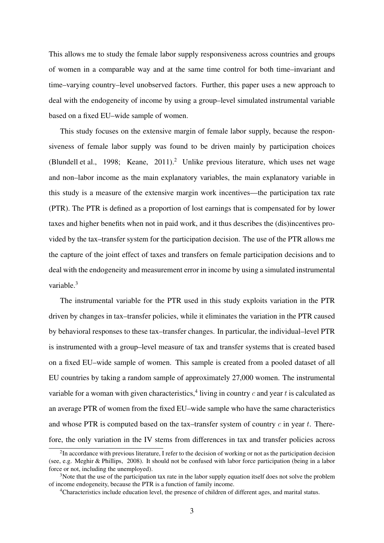This allows me to study the female labor supply responsiveness across countries and groups of women in a comparable way and at the same time control for both time–invariant and time–varying country–level unobserved factors. Further, this paper uses a new approach to deal with the endogeneity of income by using a group–level simulated instrumental variable based on a fixed EU–wide sample of women.

This study focuses on the extensive margin of female labor supply, because the responsiveness of female labor supply was found to be driven mainly by participation choices (Blundell et al., 1998; Keane, 2011).<sup>2</sup> Unlike previous literature, which uses net wage and non–labor income as the main explanatory variables, the main explanatory variable in this study is a measure of the extensive margin work incentives—the participation tax rate (PTR). The PTR is defined as a proportion of lost earnings that is compensated for by lower taxes and higher benefits when not in paid work, and it thus describes the (dis)incentives provided by the tax–transfer system for the participation decision. The use of the PTR allows me the capture of the joint effect of taxes and transfers on female participation decisions and to deal with the endogeneity and measurement error in income by using a simulated instrumental variable.<sup>3</sup>

The instrumental variable for the PTR used in this study exploits variation in the PTR driven by changes in tax–transfer policies, while it eliminates the variation in the PTR caused by behavioral responses to these tax–transfer changes. In particular, the individual–level PTR is instrumented with a group–level measure of tax and transfer systems that is created based on a fixed EU–wide sample of women. This sample is created from a pooled dataset of all EU countries by taking a random sample of approximately 27,000 women. The instrumental variable for a woman with given characteristics,<sup>4</sup> living in country  $c$  and year  $t$  is calculated as an average PTR of women from the fixed EU–wide sample who have the same characteristics and whose PTR is computed based on the tax–transfer system of country *c* in year *t*. Therefore, the only variation in the IV stems from differences in tax and transfer policies across

 $2$ In accordance with previous literature, I refer to the decision of working or not as the participation decision (see, e.g. Meghir & Phillips, 2008). It should not be confused with labor force participation (being in a labor force or not, including the unemployed).

<sup>&</sup>lt;sup>3</sup>Note that the use of the participation tax rate in the labor supply equation itself does not solve the problem of income endogeneity, because the PTR is a function of family income.

<sup>4</sup>Characteristics include education level, the presence of children of different ages, and marital status.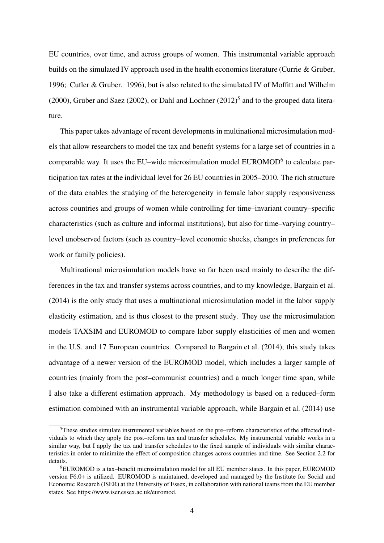EU countries, over time, and across groups of women. This instrumental variable approach builds on the simulated IV approach used in the health economics literature (Currie & Gruber, 1996; Cutler & Gruber, 1996), but is also related to the simulated IV of Moffitt and Wilhelm  $(2000)$ , Gruber and Saez  $(2002)$ , or Dahl and Lochner  $(2012)^5$  and to the grouped data literature.

This paper takes advantage of recent developments in multinational microsimulation models that allow researchers to model the tax and benefit systems for a large set of countries in a comparable way. It uses the EU–wide microsimulation model EUROMOD<sup>6</sup> to calculate participation tax rates at the individual level for 26 EU countries in 2005–2010. The rich structure of the data enables the studying of the heterogeneity in female labor supply responsiveness across countries and groups of women while controlling for time–invariant country–specific characteristics (such as culture and informal institutions), but also for time–varying country– level unobserved factors (such as country–level economic shocks, changes in preferences for work or family policies).

Multinational microsimulation models have so far been used mainly to describe the differences in the tax and transfer systems across countries, and to my knowledge, Bargain et al. (2014) is the only study that uses a multinational microsimulation model in the labor supply elasticity estimation, and is thus closest to the present study. They use the microsimulation models TAXSIM and EUROMOD to compare labor supply elasticities of men and women in the U.S. and 17 European countries. Compared to Bargain et al. (2014), this study takes advantage of a newer version of the EUROMOD model, which includes a larger sample of countries (mainly from the post–communist countries) and a much longer time span, while I also take a different estimation approach. My methodology is based on a reduced–form estimation combined with an instrumental variable approach, while Bargain et al. (2014) use

<sup>5</sup>These studies simulate instrumental variables based on the pre–reform characteristics of the affected individuals to which they apply the post–reform tax and transfer schedules. My instrumental variable works in a similar way, but I apply the tax and transfer schedules to the fixed sample of individuals with similar characteristics in order to minimize the effect of composition changes across countries and time. See Section 2.2 for details.

<sup>6</sup>EUROMOD is a tax–benefit microsimulation model for all EU member states. In this paper, EUROMOD version F6.0+ is utilized. EUROMOD is maintained, developed and managed by the Institute for Social and Economic Research (ISER) at the University of Essex, in collaboration with national teams from the EU member states. See https://www.iser.essex.ac.uk/euromod.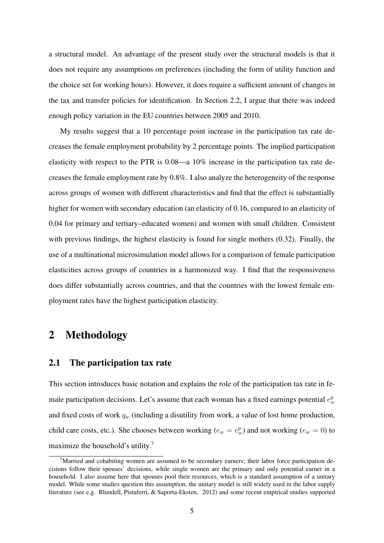a structural model. An advantage of the present study over the structural models is that it does not require any assumptions on preferences (including the form of utility function and the choice set for working hours). However, it does require a sufficient amount of changes in the tax and transfer policies for identification. In Section 2.2, I argue that there was indeed enough policy variation in the EU countries between 2005 and 2010.

My results suggest that a 10 percentage point increase in the participation tax rate decreases the female employment probability by 2 percentage points. The implied participation elasticity with respect to the PTR is 0.08—a 10% increase in the participation tax rate decreases the female employment rate by 0.8%. I also analyze the heterogeneity of the response across groups of women with different characteristics and find that the effect is substantially higher for women with secondary education (an elasticity of 0.16, compared to an elasticity of 0.04 for primary and tertiary–educated women) and women with small children. Consistent with previous findings, the highest elasticity is found for single mothers (0.32). Finally, the use of a multinational microsimulation model allows for a comparison of female participation elasticities across groups of countries in a harmonized way. I find that the responsiveness does differ substantially across countries, and that the countries with the lowest female employment rates have the highest participation elasticity.

## 2 Methodology

#### 2.1 The participation tax rate

This section introduces basic notation and explains the role of the participation tax rate in female participation decisions. Let's assume that each woman has a fixed earnings potential  $e_w^p$ and fixed costs of work *q<sup>w</sup>* (including a disutility from work, a value of lost home production, child care costs, etc.). She chooses between working ( $e_w = e_w^p$ ) and not working ( $e_w = 0$ ) to maximize the household's utility.<sup>7</sup>

 $7$ Married and cohabiting women are assumed to be secondary earners; their labor force participation decisions follow their spouses' decisions, while single women are the primary and only potential earner in a household. I also assume here that spouses pool their resources, which is a standard assumption of a unitary model. While some studies question this assumption, the unitary model is still widely used in the labor supply literature (see e.g. Blundell, Pistaferri, & Saporta-Eksten, 2012) and some recent empirical studies supported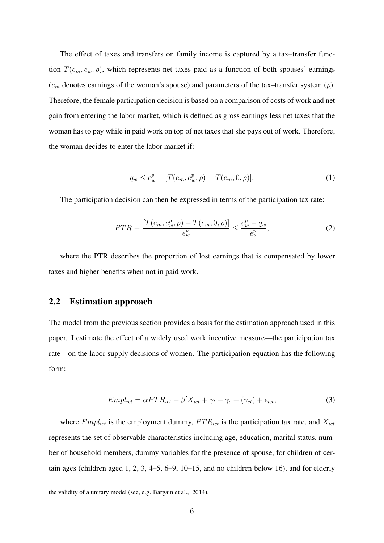The effect of taxes and transfers on family income is captured by a tax–transfer function  $T(e_m, e_w, \rho)$ , which represents net taxes paid as a function of both spouses' earnings (*e<sup>m</sup>* denotes earnings of the woman's spouse) and parameters of the tax–transfer system (*ρ*). Therefore, the female participation decision is based on a comparison of costs of work and net gain from entering the labor market, which is defined as gross earnings less net taxes that the woman has to pay while in paid work on top of net taxes that she pays out of work. Therefore, the woman decides to enter the labor market if:

$$
q_w \le e_w^p - [T(e_m, e_w^p, \rho) - T(e_m, 0, \rho)].
$$
\n(1)

The participation decision can then be expressed in terms of the participation tax rate:

$$
PTR \equiv \frac{[T(e_m, e_w^p, \rho) - T(e_m, 0, \rho)]}{e_w^p} \le \frac{e_w^p - q_w}{e_w^p},\tag{2}
$$

where the PTR describes the proportion of lost earnings that is compensated by lower taxes and higher benefits when not in paid work.

#### 2.2 Estimation approach

The model from the previous section provides a basis for the estimation approach used in this paper. I estimate the effect of a widely used work incentive measure—the participation tax rate—on the labor supply decisions of women. The participation equation has the following form:

$$
Empl_{ict} = \alpha PTR_{ict} + \beta' X_{ict} + \gamma_t + \gamma_c + (\gamma_{ct}) + \epsilon_{ict},\tag{3}
$$

where  $Empl_{ict}$  is the employment dummy,  $PTR_{ict}$  is the participation tax rate, and  $X_{ict}$ represents the set of observable characteristics including age, education, marital status, number of household members, dummy variables for the presence of spouse, for children of certain ages (children aged 1, 2, 3, 4–5, 6–9, 10–15, and no children below 16), and for elderly

the validity of a unitary model (see, e.g. Bargain et al., 2014).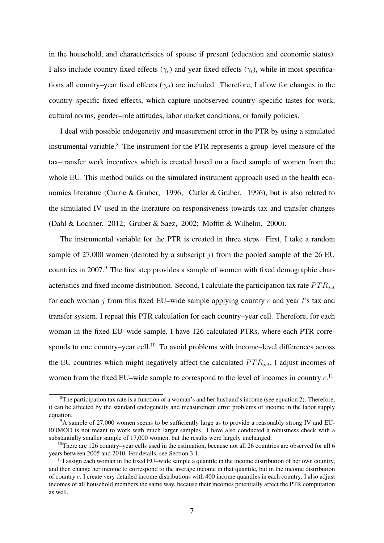in the household, and characteristics of spouse if present (education and economic status). I also include country fixed effects ( $\gamma_c$ ) and year fixed effects ( $\gamma_t$ ), while in most specifications all country–year fixed effects (*γct*) are included. Therefore, I allow for changes in the country–specific fixed effects, which capture unobserved country–specific tastes for work, cultural norms, gender–role attitudes, labor market conditions, or family policies.

I deal with possible endogeneity and measurement error in the PTR by using a simulated instrumental variable.<sup>8</sup> The instrument for the PTR represents a group–level measure of the tax–transfer work incentives which is created based on a fixed sample of women from the whole EU. This method builds on the simulated instrument approach used in the health economics literature (Currie & Gruber, 1996; Cutler & Gruber, 1996), but is also related to the simulated IV used in the literature on responsiveness towards tax and transfer changes (Dahl & Lochner, 2012; Gruber & Saez, 2002; Moffitt & Wilhelm, 2000).

The instrumental variable for the PTR is created in three steps. First, I take a random sample of 27,000 women (denoted by a subscript  $j$ ) from the pooled sample of the 26 EU countries in 2007.<sup>9</sup> The first step provides a sample of women with fixed demographic characteristics and fixed income distribution. Second, I calculate the participation tax rate  $PTR_{ict}$ for each woman *j* from this fixed EU–wide sample applying country *c* and year *t*'s tax and transfer system. I repeat this PTR calculation for each country–year cell. Therefore, for each woman in the fixed EU–wide sample, I have 126 calculated PTRs, where each PTR corresponds to one country–year cell.<sup>10</sup> To avoid problems with income–level differences across the EU countries which might negatively affect the calculated *P T Rjct*, I adjust incomes of women from the fixed EU–wide sample to correspond to the level of incomes in country *c*. 11

 $8$ The participation tax rate is a function of a woman's and her husband's income (see equation 2). Therefore, it can be affected by the standard endogeneity and measurement error problems of income in the labor supply equation.

 $9A$  sample of 27,000 women seems to be sufficiently large as to provide a reasonably strong IV and EU-ROMOD is not meant to work with much larger samples. I have also conducted a robustness check with a substantially smaller sample of 17,000 women, but the results were largely unchanged.

 $10$ There are 126 country–year cells used in the estimation, because not all 26 countries are observed for all 6 years between 2005 and 2010. For details, see Section 3.1.

 $<sup>11</sup>$ I assign each woman in the fixed EU–wide sample a quantile in the income distribution of her own country,</sup> and then change her income to correspond to the average income in that quantile, but in the income distribution of country *c*. I create very detailed income distributions with 400 income quantiles in each country. I also adjust incomes of all household members the same way, because their incomes potentially affect the PTR computation as well.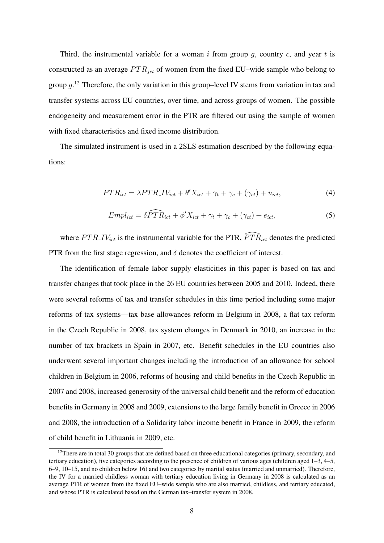Third, the instrumental variable for a woman *i* from group *g*, country *c*, and year *t* is constructed as an average  $PTR_{ict}$  of women from the fixed EU–wide sample who belong to group *g*. <sup>12</sup> Therefore, the only variation in this group–level IV stems from variation in tax and transfer systems across EU countries, over time, and across groups of women. The possible endogeneity and measurement error in the PTR are filtered out using the sample of women with fixed characteristics and fixed income distribution.

The simulated instrument is used in a 2SLS estimation described by the following equations:

$$
PTR_{ict} = \lambda PTR \cdot IV_{ict} + \theta' X_{ict} + \gamma_t + \gamma_c + (\gamma_{ct}) + u_{ict},\tag{4}
$$

$$
Empl_{ict} = \delta \widehat{PTR}_{ict} + \phi' X_{ict} + \gamma_t + \gamma_c + (\gamma_{ct}) + e_{ict}, \tag{5}
$$

where  $PTR_{.}IV_{ict}$  is the instrumental variable for the PTR,  $\widehat{PTR}_{ict}$  denotes the predicted PTR from the first stage regression, and  $\delta$  denotes the coefficient of interest.

The identification of female labor supply elasticities in this paper is based on tax and transfer changes that took place in the 26 EU countries between 2005 and 2010. Indeed, there were several reforms of tax and transfer schedules in this time period including some major reforms of tax systems—tax base allowances reform in Belgium in 2008, a flat tax reform in the Czech Republic in 2008, tax system changes in Denmark in 2010, an increase in the number of tax brackets in Spain in 2007, etc. Benefit schedules in the EU countries also underwent several important changes including the introduction of an allowance for school children in Belgium in 2006, reforms of housing and child benefits in the Czech Republic in 2007 and 2008, increased generosity of the universal child benefit and the reform of education benefits in Germany in 2008 and 2009, extensions to the large family benefit in Greece in 2006 and 2008, the introduction of a Solidarity labor income benefit in France in 2009, the reform of child benefit in Lithuania in 2009, etc.

 $12$ There are in total 30 groups that are defined based on three educational categories (primary, secondary, and tertiary education), five categories according to the presence of children of various ages (children aged 1–3, 4–5, 6–9, 10–15, and no children below 16) and two categories by marital status (married and unmarried). Therefore, the IV for a married childless woman with tertiary education living in Germany in 2008 is calculated as an average PTR of women from the fixed EU–wide sample who are also married, childless, and tertiary educated, and whose PTR is calculated based on the German tax–transfer system in 2008.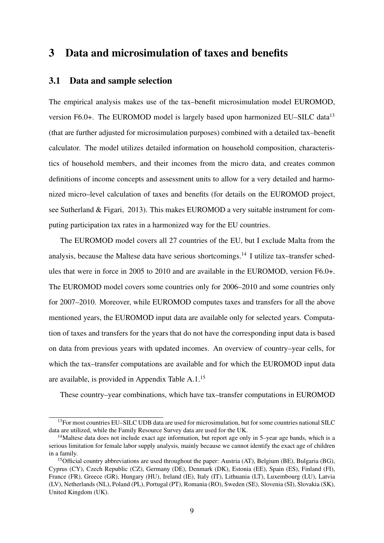## 3 Data and microsimulation of taxes and benefits

#### 3.1 Data and sample selection

The empirical analysis makes use of the tax–benefit microsimulation model EUROMOD, version F6.0+. The EUROMOD model is largely based upon harmonized EU–SILC data<sup>13</sup> (that are further adjusted for microsimulation purposes) combined with a detailed tax–benefit calculator. The model utilizes detailed information on household composition, characteristics of household members, and their incomes from the micro data, and creates common definitions of income concepts and assessment units to allow for a very detailed and harmonized micro–level calculation of taxes and benefits (for details on the EUROMOD project, see Sutherland & Figari, 2013). This makes EUROMOD a very suitable instrument for computing participation tax rates in a harmonized way for the EU countries.

The EUROMOD model covers all 27 countries of the EU, but I exclude Malta from the analysis, because the Maltese data have serious shortcomings.<sup>14</sup> I utilize tax–transfer schedules that were in force in 2005 to 2010 and are available in the EUROMOD, version F6.0+. The EUROMOD model covers some countries only for 2006–2010 and some countries only for 2007–2010. Moreover, while EUROMOD computes taxes and transfers for all the above mentioned years, the EUROMOD input data are available only for selected years. Computation of taxes and transfers for the years that do not have the corresponding input data is based on data from previous years with updated incomes. An overview of country–year cells, for which the tax–transfer computations are available and for which the EUROMOD input data are available, is provided in Appendix Table A.1.<sup>15</sup>

These country–year combinations, which have tax–transfer computations in EUROMOD

<sup>&</sup>lt;sup>13</sup>For most countries EU–SILC UDB data are used for microsimulation, but for some countries national SILC data are utilized, while the Family Resource Survey data are used for the UK.

<sup>&</sup>lt;sup>14</sup>Maltese data does not include exact age information, but report age only in 5–year age bands, which is a serious limitation for female labor supply analysis, mainly because we cannot identify the exact age of children in a family.

<sup>15</sup>Official country abbreviations are used throughout the paper: Austria (AT), Belgium (BE), Bulgaria (BG), Cyprus (CY), Czech Republic (CZ), Germany (DE), Denmark (DK), Estonia (EE), Spain (ES), Finland (FI), France (FR), Greece (GR), Hungary (HU), Ireland (IE), Italy (IT), Lithuania (LT), Luxembourg (LU), Latvia (LV), Netherlands (NL), Poland (PL), Portugal (PT), Romania (RO), Sweden (SE), Slovenia (SI), Slovakia (SK), United Kingdom (UK).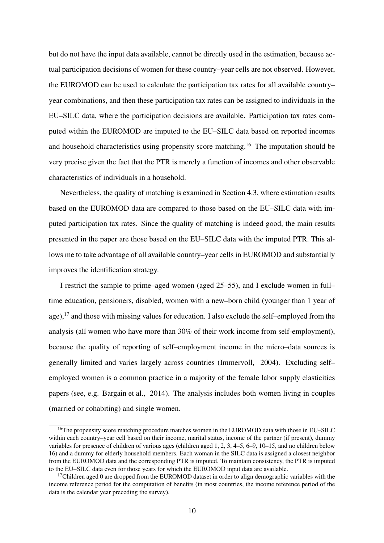but do not have the input data available, cannot be directly used in the estimation, because actual participation decisions of women for these country–year cells are not observed. However, the EUROMOD can be used to calculate the participation tax rates for all available country– year combinations, and then these participation tax rates can be assigned to individuals in the EU–SILC data, where the participation decisions are available. Participation tax rates computed within the EUROMOD are imputed to the EU–SILC data based on reported incomes and household characteristics using propensity score matching.<sup>16</sup> The imputation should be very precise given the fact that the PTR is merely a function of incomes and other observable characteristics of individuals in a household.

Nevertheless, the quality of matching is examined in Section 4.3, where estimation results based on the EUROMOD data are compared to those based on the EU–SILC data with imputed participation tax rates. Since the quality of matching is indeed good, the main results presented in the paper are those based on the EU–SILC data with the imputed PTR. This allows me to take advantage of all available country–year cells in EUROMOD and substantially improves the identification strategy.

I restrict the sample to prime–aged women (aged 25–55), and I exclude women in full– time education, pensioners, disabled, women with a new–born child (younger than 1 year of age),<sup>17</sup> and those with missing values for education. I also exclude the self–employed from the analysis (all women who have more than 30% of their work income from self-employment), because the quality of reporting of self–employment income in the micro–data sources is generally limited and varies largely across countries (Immervoll, 2004). Excluding self– employed women is a common practice in a majority of the female labor supply elasticities papers (see, e.g. Bargain et al., 2014). The analysis includes both women living in couples (married or cohabiting) and single women.

<sup>&</sup>lt;sup>16</sup>The propensity score matching procedure matches women in the EUROMOD data with those in EU–SILC within each country–year cell based on their income, marital status, income of the partner (if present), dummy variables for presence of children of various ages (children aged 1, 2, 3, 4–5, 6–9, 10–15, and no children below 16) and a dummy for elderly household members. Each woman in the SILC data is assigned a closest neighbor from the EUROMOD data and the corresponding PTR is imputed. To maintain consistency, the PTR is imputed to the EU–SILC data even for those years for which the EUROMOD input data are available.

 $17$ Children aged 0 are dropped from the EUROMOD dataset in order to align demographic variables with the income reference period for the computation of benefits (in most countries, the income reference period of the data is the calendar year preceding the survey).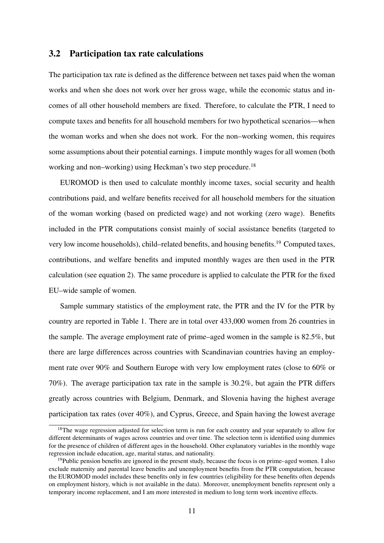#### 3.2 Participation tax rate calculations

The participation tax rate is defined as the difference between net taxes paid when the woman works and when she does not work over her gross wage, while the economic status and incomes of all other household members are fixed. Therefore, to calculate the PTR, I need to compute taxes and benefits for all household members for two hypothetical scenarios—when the woman works and when she does not work. For the non–working women, this requires some assumptions about their potential earnings. I impute monthly wages for all women (both working and non–working) using Heckman's two step procedure.<sup>18</sup>

EUROMOD is then used to calculate monthly income taxes, social security and health contributions paid, and welfare benefits received for all household members for the situation of the woman working (based on predicted wage) and not working (zero wage). Benefits included in the PTR computations consist mainly of social assistance benefits (targeted to very low income households), child–related benefits, and housing benefits.<sup>19</sup> Computed taxes, contributions, and welfare benefits and imputed monthly wages are then used in the PTR calculation (see equation 2). The same procedure is applied to calculate the PTR for the fixed EU–wide sample of women.

Sample summary statistics of the employment rate, the PTR and the IV for the PTR by country are reported in Table 1. There are in total over 433,000 women from 26 countries in the sample. The average employment rate of prime–aged women in the sample is 82.5%, but there are large differences across countries with Scandinavian countries having an employment rate over 90% and Southern Europe with very low employment rates (close to 60% or 70%). The average participation tax rate in the sample is 30.2%, but again the PTR differs greatly across countries with Belgium, Denmark, and Slovenia having the highest average participation tax rates (over 40%), and Cyprus, Greece, and Spain having the lowest average

<sup>&</sup>lt;sup>18</sup>The wage regression adjusted for selection term is run for each country and year separately to allow for different determinants of wages across countries and over time. The selection term is identified using dummies for the presence of children of different ages in the household. Other explanatory variables in the monthly wage regression include education, age, marital status, and nationality.

 $19$ Public pension benefits are ignored in the present study, because the focus is on prime–aged women. I also exclude maternity and parental leave benefits and unemployment benefits from the PTR computation, because the EUROMOD model includes these benefits only in few countries (eligibility for these benefits often depends on employment history, which is not available in the data). Moreover, unemployment benefits represent only a temporary income replacement, and I am more interested in medium to long term work incentive effects.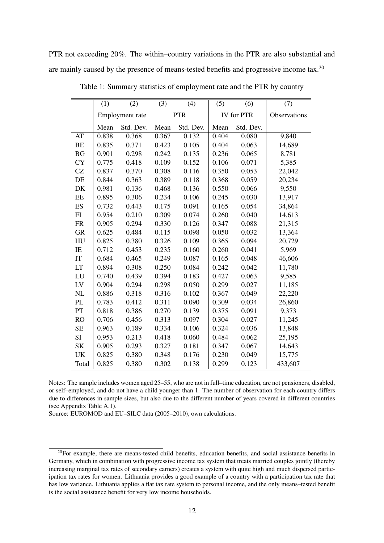PTR not exceeding 20%. The within–country variations in the PTR are also substantial and are mainly caused by the presence of means-tested benefits and progressive income tax.<sup>20</sup>

|                      | (1)             | (2)       | (3)        | (4)       | (5)   | (6)        | (7)          |
|----------------------|-----------------|-----------|------------|-----------|-------|------------|--------------|
|                      | Employment rate |           | <b>PTR</b> |           |       | IV for PTR | Observations |
|                      | Mean            | Std. Dev. | Mean       | Std. Dev. | Mean  | Std. Dev.  |              |
| AT                   | 0.838           | 0.368     | 0.367      | 0.132     | 0.404 | 0.080      | 9,840        |
| BE                   | 0.835           | 0.371     | 0.423      | 0.105     | 0.404 | 0.063      | 14,689       |
| BG                   | 0.901           | 0.298     | 0.242      | 0.135     | 0.236 | 0.065      | 8,781        |
| <b>CY</b>            | 0.775           | 0.418     | 0.109      | 0.152     | 0.106 | 0.071      | 5,385        |
| $\operatorname{CZ}$  | 0.837           | 0.370     | 0.308      | 0.116     | 0.350 | 0.053      | 22,042       |
| $\rm DE$             | 0.844           | 0.363     | 0.389      | 0.118     | 0.368 | 0.059      | 20,234       |
| DK                   | 0.981           | 0.136     | 0.468      | 0.136     | 0.550 | 0.066      | 9,550        |
| $\rm EE$             | 0.895           | 0.306     | 0.234      | 0.106     | 0.245 | 0.030      | 13,917       |
| ES                   | 0.732           | 0.443     | 0.175      | 0.091     | 0.165 | 0.054      | 34,864       |
| FI                   | 0.954           | 0.210     | 0.309      | 0.074     | 0.260 | 0.040      | 14,613       |
| <b>FR</b>            | 0.905           | 0.294     | 0.330      | 0.126     | 0.347 | 0.088      | 21,315       |
| <b>GR</b>            | 0.625           | 0.484     | 0.115      | 0.098     | 0.050 | 0.032      | 13,364       |
| ${\rm H}{\rm U}$     | 0.825           | 0.380     | 0.326      | 0.109     | 0.365 | 0.094      | 20,729       |
| IE                   | 0.712           | 0.453     | 0.235      | 0.160     | 0.260 | 0.041      | 5,969        |
| $\mathop{\text{IT}}$ | 0.684           | 0.465     | 0.249      | 0.087     | 0.165 | 0.048      | 46,606       |
| LT                   | 0.894           | 0.308     | 0.250      | 0.084     | 0.242 | 0.042      | 11,780       |
| LU                   | 0.740           | 0.439     | 0.394      | 0.183     | 0.427 | 0.063      | 9,585        |
| ${\rm LV}$           | 0.904           | 0.294     | 0.298      | 0.050     | 0.299 | 0.027      | 11,185       |
| NL                   | 0.886           | 0.318     | 0.316      | 0.102     | 0.367 | 0.049      | 22,220       |
| PL                   | 0.783           | 0.412     | 0.311      | 0.090     | 0.309 | 0.034      | 26,860       |
| PT                   | 0.818           | 0.386     | 0.270      | 0.139     | 0.375 | 0.091      | 9,373        |
| <b>RO</b>            | 0.706           | 0.456     | 0.313      | 0.097     | 0.304 | 0.027      | 11,245       |
| $\rm SE$             | 0.963           | 0.189     | 0.334      | 0.106     | 0.324 | 0.036      | 13,848       |
| SI                   | 0.953           | 0.213     | 0.418      | 0.060     | 0.484 | 0.062      | 25,195       |
| <b>SK</b>            | 0.905           | 0.293     | 0.327      | 0.181     | 0.347 | 0.067      | 14,643       |
| <b>UK</b>            | 0.825           | 0.380     | 0.348      | 0.176     | 0.230 | 0.049      | 15,775       |
| Total                | 0.825           | 0.380     | 0.302      | 0.138     | 0.299 | 0.123      | 433,607      |

Table 1: Summary statistics of employment rate and the PTR by country

Notes: The sample includes women aged 25–55, who are not in full–time education, are not pensioners, disabled, or self–employed, and do not have a child younger than 1. The number of observation for each country differs due to differences in sample sizes, but also due to the different number of years covered in different countries (see Appendix Table A.1).

Source: EUROMOD and EU–SILC data (2005–2010), own calculations.

 $20$ For example, there are means-tested child benefits, education benefits, and social assistance benefits in Germany, which in combination with progressive income tax system that treats married couples jointly (thereby increasing marginal tax rates of secondary earners) creates a system with quite high and much dispersed participation tax rates for women. Lithuania provides a good example of a country with a participation tax rate that has low variance. Lithuania applies a flat tax rate system to personal income, and the only means–tested benefit is the social assistance benefit for very low income households.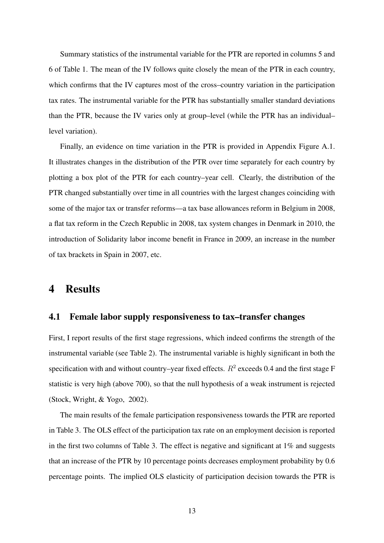Summary statistics of the instrumental variable for the PTR are reported in columns 5 and 6 of Table 1. The mean of the IV follows quite closely the mean of the PTR in each country, which confirms that the IV captures most of the cross–country variation in the participation tax rates. The instrumental variable for the PTR has substantially smaller standard deviations than the PTR, because the IV varies only at group–level (while the PTR has an individual– level variation).

Finally, an evidence on time variation in the PTR is provided in Appendix Figure A.1. It illustrates changes in the distribution of the PTR over time separately for each country by plotting a box plot of the PTR for each country–year cell. Clearly, the distribution of the PTR changed substantially over time in all countries with the largest changes coinciding with some of the major tax or transfer reforms—a tax base allowances reform in Belgium in 2008, a flat tax reform in the Czech Republic in 2008, tax system changes in Denmark in 2010, the introduction of Solidarity labor income benefit in France in 2009, an increase in the number of tax brackets in Spain in 2007, etc.

### 4 Results

#### 4.1 Female labor supply responsiveness to tax–transfer changes

First, I report results of the first stage regressions, which indeed confirms the strength of the instrumental variable (see Table 2). The instrumental variable is highly significant in both the specification with and without country–year fixed effects.  $R^2$  exceeds 0.4 and the first stage F statistic is very high (above 700), so that the null hypothesis of a weak instrument is rejected (Stock, Wright, & Yogo, 2002).

The main results of the female participation responsiveness towards the PTR are reported in Table 3. The OLS effect of the participation tax rate on an employment decision is reported in the first two columns of Table 3. The effect is negative and significant at  $1\%$  and suggests that an increase of the PTR by 10 percentage points decreases employment probability by 0.6 percentage points. The implied OLS elasticity of participation decision towards the PTR is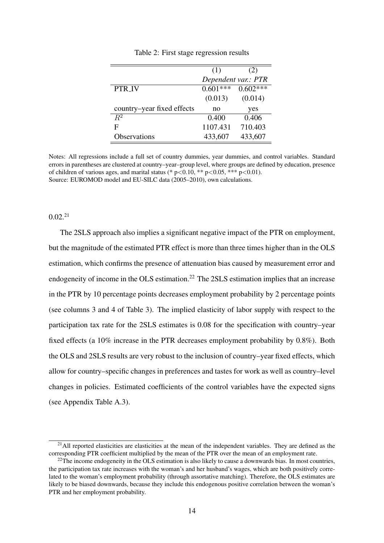|                            | (1)                 | (2)        |
|----------------------------|---------------------|------------|
|                            | Dependent var.: PTR |            |
| PTR_IV                     | $0.601***$          | $0.602***$ |
|                            | (0.013)             | (0.014)    |
| country–year fixed effects | no                  | yes        |
| $\overline{R^2}$           | 0.400               | 0.406      |
| F                          | 1107.431            | 710.403    |
| Observations               | 433,607             | 433,607    |

Table 2: First stage regression results

Notes: All regressions include a full set of country dummies, year dummies, and control variables. Standard errors in parentheses are clustered at country–year–group level, where groups are defined by education, presence of children of various ages, and marital status (\* p*<*0.10, \*\* p*<*0.05, \*\*\* p*<*0.01). Source: EUROMOD model and EU-SILC data (2005–2010), own calculations.

#### 0.02.<sup>21</sup>

The 2SLS approach also implies a significant negative impact of the PTR on employment, but the magnitude of the estimated PTR effect is more than three times higher than in the OLS estimation, which confirms the presence of attenuation bias caused by measurement error and endogeneity of income in the OLS estimation.<sup>22</sup> The 2SLS estimation implies that an increase in the PTR by 10 percentage points decreases employment probability by 2 percentage points (see columns 3 and 4 of Table 3). The implied elasticity of labor supply with respect to the participation tax rate for the 2SLS estimates is 0.08 for the specification with country–year fixed effects (a 10% increase in the PTR decreases employment probability by 0.8%). Both the OLS and 2SLS results are very robust to the inclusion of country–year fixed effects, which allow for country–specific changes in preferences and tastes for work as well as country–level changes in policies. Estimated coefficients of the control variables have the expected signs (see Appendix Table A.3).

 $^{21}$ All reported elasticities are elasticities at the mean of the independent variables. They are defined as the corresponding PTR coefficient multiplied by the mean of the PTR over the mean of an employment rate.

 $22$ The income endogeneity in the OLS estimation is also likely to cause a downwards bias. In most countries, the participation tax rate increases with the woman's and her husband's wages, which are both positively correlated to the woman's employment probability (through assortative matching). Therefore, the OLS estimates are likely to be biased downwards, because they include this endogenous positive correlation between the woman's PTR and her employment probability.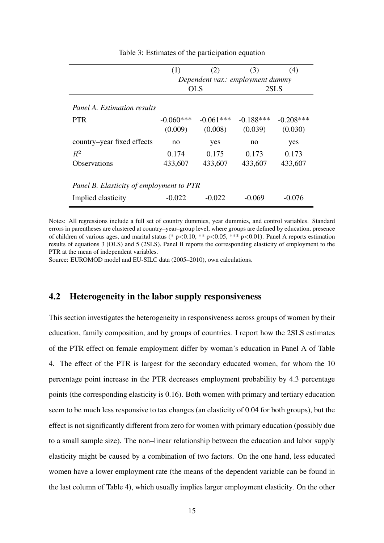|                                          | (1)                              | (2)         | (3)         | (4)         |  |  |  |
|------------------------------------------|----------------------------------|-------------|-------------|-------------|--|--|--|
|                                          | Dependent var.: employment dummy |             |             |             |  |  |  |
|                                          |                                  | <b>OLS</b>  | 2SLS        |             |  |  |  |
| Panel A. Estimation results              |                                  |             |             |             |  |  |  |
| <b>PTR</b>                               | $-0.060***$                      | $-0.061***$ | $-0.188***$ | $-0.208***$ |  |  |  |
|                                          | (0.009)                          | (0.008)     | (0.039)     | (0.030)     |  |  |  |
| country–year fixed effects               | no                               | yes         | no          | yes         |  |  |  |
| $R^2$                                    | 0.174                            | 0.175       | 0.173       | 0.173       |  |  |  |
| <b>Observations</b>                      | 433,607                          | 433,607     | 433,607     | 433,607     |  |  |  |
|                                          |                                  |             |             |             |  |  |  |
| Panel B. Elasticity of employment to PTR |                                  |             |             |             |  |  |  |
| Implied elasticity                       | $-0.022$                         | $-0.022$    | $-0.069$    | $-0.076$    |  |  |  |

Table 3: Estimates of the participation equation

Notes: All regressions include a full set of country dummies, year dummies, and control variables. Standard errors in parentheses are clustered at country–year–group level, where groups are defined by education, presence of children of various ages, and marital status (\* p*<*0.10, \*\* p*<*0.05, \*\*\* p*<*0.01). Panel A reports estimation results of equations 3 (OLS) and 5 (2SLS). Panel B reports the corresponding elasticity of employment to the PTR at the mean of independent variables.

Source: EUROMOD model and EU-SILC data (2005–2010), own calculations.

#### 4.2 Heterogeneity in the labor supply responsiveness

This section investigates the heterogeneity in responsiveness across groups of women by their education, family composition, and by groups of countries. I report how the 2SLS estimates of the PTR effect on female employment differ by woman's education in Panel A of Table 4. The effect of the PTR is largest for the secondary educated women, for whom the 10 percentage point increase in the PTR decreases employment probability by 4.3 percentage points (the corresponding elasticity is 0.16). Both women with primary and tertiary education seem to be much less responsive to tax changes (an elasticity of 0.04 for both groups), but the effect is not significantly different from zero for women with primary education (possibly due to a small sample size). The non–linear relationship between the education and labor supply elasticity might be caused by a combination of two factors. On the one hand, less educated women have a lower employment rate (the means of the dependent variable can be found in the last column of Table 4), which usually implies larger employment elasticity. On the other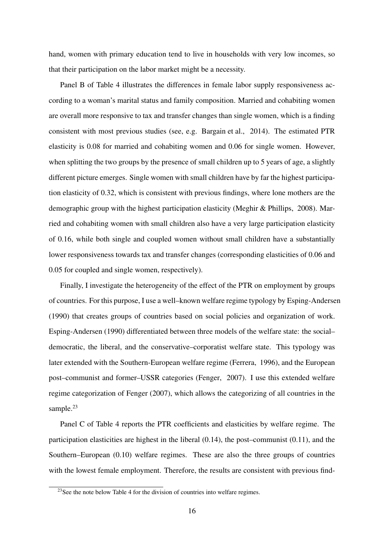hand, women with primary education tend to live in households with very low incomes, so that their participation on the labor market might be a necessity.

Panel B of Table 4 illustrates the differences in female labor supply responsiveness according to a woman's marital status and family composition. Married and cohabiting women are overall more responsive to tax and transfer changes than single women, which is a finding consistent with most previous studies (see, e.g. Bargain et al., 2014). The estimated PTR elasticity is 0.08 for married and cohabiting women and 0.06 for single women. However, when splitting the two groups by the presence of small children up to 5 years of age, a slightly different picture emerges. Single women with small children have by far the highest participation elasticity of 0.32, which is consistent with previous findings, where lone mothers are the demographic group with the highest participation elasticity (Meghir & Phillips, 2008). Married and cohabiting women with small children also have a very large participation elasticity of 0.16, while both single and coupled women without small children have a substantially lower responsiveness towards tax and transfer changes (corresponding elasticities of 0.06 and 0.05 for coupled and single women, respectively).

Finally, I investigate the heterogeneity of the effect of the PTR on employment by groups of countries. For this purpose, I use a well–known welfare regime typology by Esping-Andersen (1990) that creates groups of countries based on social policies and organization of work. Esping-Andersen (1990) differentiated between three models of the welfare state: the social– democratic, the liberal, and the conservative–corporatist welfare state. This typology was later extended with the Southern-European welfare regime (Ferrera, 1996), and the European post–communist and former–USSR categories (Fenger, 2007). I use this extended welfare regime categorization of Fenger (2007), which allows the categorizing of all countries in the sample.<sup>23</sup>

Panel C of Table 4 reports the PTR coefficients and elasticities by welfare regime. The participation elasticities are highest in the liberal (0.14), the post–communist (0.11), and the Southern–European (0.10) welfare regimes. These are also the three groups of countries with the lowest female employment. Therefore, the results are consistent with previous find-

 $^{23}$ See the note below Table 4 for the division of countries into welfare regimes.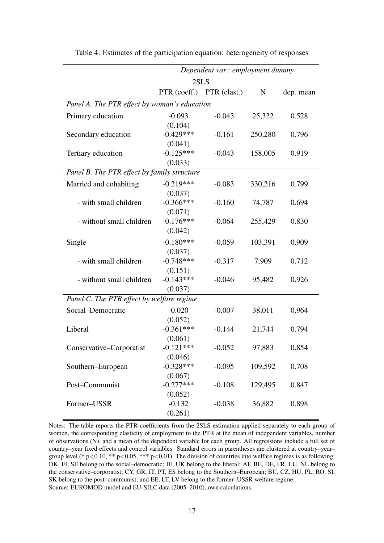|                                              | Dependent var.: employment dummy |              |         |           |  |  |  |  |  |
|----------------------------------------------|----------------------------------|--------------|---------|-----------|--|--|--|--|--|
|                                              | 2SLS                             |              |         |           |  |  |  |  |  |
|                                              | PTR (coeff.)                     | PTR (elast.) | N       | dep. mean |  |  |  |  |  |
| Panel A. The PTR effect by woman's education |                                  |              |         |           |  |  |  |  |  |
| Primary education                            | $-0.093$                         | $-0.043$     | 25,322  | 0.528     |  |  |  |  |  |
|                                              | (0.104)                          |              |         |           |  |  |  |  |  |
| Secondary education                          | $-0.429***$                      | $-0.161$     | 250,280 | 0.796     |  |  |  |  |  |
|                                              | (0.041)                          |              |         |           |  |  |  |  |  |
| Tertiary education                           | $-0.125***$                      | $-0.043$     | 158,005 | 0.919     |  |  |  |  |  |
|                                              | (0.033)                          |              |         |           |  |  |  |  |  |
| Panel B. The PTR effect by family structure  |                                  |              |         |           |  |  |  |  |  |
| Married and cohabiting                       | $-0.219***$                      | $-0.083$     | 330,216 | 0.799     |  |  |  |  |  |
|                                              | (0.037)                          |              |         |           |  |  |  |  |  |
| - with small children                        | $-0.366***$                      | $-0.160$     | 74,787  | 0.694     |  |  |  |  |  |
|                                              | (0.071)                          |              |         |           |  |  |  |  |  |
| - without small children                     | $-0.176***$                      | $-0.064$     | 255,429 | 0.830     |  |  |  |  |  |
|                                              | (0.042)                          |              |         |           |  |  |  |  |  |
| Single                                       | $-0.180***$                      | $-0.059$     | 103,391 | 0.909     |  |  |  |  |  |
|                                              | (0.037)                          |              |         |           |  |  |  |  |  |
| - with small children                        | $-0.748***$                      | $-0.317$     | 7,909   | 0.712     |  |  |  |  |  |
|                                              | (0.151)                          |              |         |           |  |  |  |  |  |
| - without small children                     | $-0.143***$                      | $-0.046$     | 95,482  | 0.926     |  |  |  |  |  |
|                                              | (0.037)                          |              |         |           |  |  |  |  |  |
| Panel C. The PTR effect by welfare regime    |                                  |              |         |           |  |  |  |  |  |
| Social-Democratic                            | $-0.020$                         | $-0.007$     | 38,011  | 0.964     |  |  |  |  |  |
|                                              | (0.052)                          |              |         |           |  |  |  |  |  |
| Liberal                                      | $-0.361***$                      | $-0.144$     | 21,744  | 0.794     |  |  |  |  |  |
|                                              | (0.061)                          |              |         |           |  |  |  |  |  |
| Conservative-Corporatist                     | $-0.121***$                      | $-0.052$     | 97,883  | 0.854     |  |  |  |  |  |
|                                              | (0.046)                          |              |         |           |  |  |  |  |  |
| Southern-European                            | $-0.328***$                      | $-0.095$     | 109,592 | 0.708     |  |  |  |  |  |
|                                              | (0.067)                          |              |         |           |  |  |  |  |  |
| Post-Communist                               | $-0.277***$                      | $-0.108$     | 129,495 | 0.847     |  |  |  |  |  |
|                                              | (0.052)                          |              |         |           |  |  |  |  |  |
| Former-USSR                                  | $-0.132$                         | $-0.038$     | 36,882  | 0.898     |  |  |  |  |  |
|                                              | (0.261)                          |              |         |           |  |  |  |  |  |

Table 4: Estimates of the participation equation: heterogeneity of responses

Notes: The table reports the PTR coefficients from the 2SLS estimation applied separately to each group of women, the corresponding elasticity of employment to the PTR at the mean of independent variables, number of observations (N), and a mean of the dependent variable for each group. All regressions include a full set of country–year fixed effects and control variables. Standard errors in parentheses are clustered at country–year– group level (\* p*<*0.10, \*\* p*<*0.05, \*\*\* p*<*0.01). The division of countries into welfare regimes is as following: DK, FI, SE belong to the social–democratic; IE, UK belong to the liberal; AT, BE, DE, FR, LU, NL belong to the conservative–corporatist; CY, GR, IT, PT, ES belong to the Southern–European; BU, CZ, HU, PL, RO, SI, SK belong to the post–communist; and EE, LT, LV belong to the former–USSR welfare regime. Source: EUROMOD model and EU-SILC data (2005–2010), own calculations.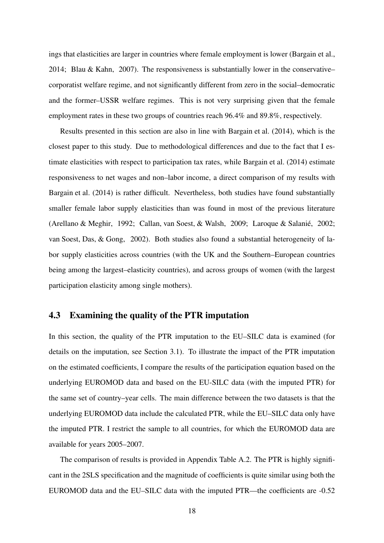ings that elasticities are larger in countries where female employment is lower (Bargain et al., 2014; Blau & Kahn, 2007). The responsiveness is substantially lower in the conservative– corporatist welfare regime, and not significantly different from zero in the social–democratic and the former–USSR welfare regimes. This is not very surprising given that the female employment rates in these two groups of countries reach 96.4% and 89.8%, respectively.

Results presented in this section are also in line with Bargain et al. (2014), which is the closest paper to this study. Due to methodological differences and due to the fact that I estimate elasticities with respect to participation tax rates, while Bargain et al. (2014) estimate responsiveness to net wages and non–labor income, a direct comparison of my results with Bargain et al. (2014) is rather difficult. Nevertheless, both studies have found substantially smaller female labor supply elasticities than was found in most of the previous literature (Arellano & Meghir, 1992; Callan, van Soest, & Walsh, 2009; Laroque & Salanié, 2002; van Soest, Das, & Gong, 2002). Both studies also found a substantial heterogeneity of labor supply elasticities across countries (with the UK and the Southern–European countries being among the largest–elasticity countries), and across groups of women (with the largest participation elasticity among single mothers).

#### 4.3 Examining the quality of the PTR imputation

In this section, the quality of the PTR imputation to the EU–SILC data is examined (for details on the imputation, see Section 3.1). To illustrate the impact of the PTR imputation on the estimated coefficients, I compare the results of the participation equation based on the underlying EUROMOD data and based on the EU-SILC data (with the imputed PTR) for the same set of country–year cells. The main difference between the two datasets is that the underlying EUROMOD data include the calculated PTR, while the EU–SILC data only have the imputed PTR. I restrict the sample to all countries, for which the EUROMOD data are available for years 2005–2007.

The comparison of results is provided in Appendix Table A.2. The PTR is highly significant in the 2SLS specification and the magnitude of coefficients is quite similar using both the EUROMOD data and the EU–SILC data with the imputed PTR—the coefficients are -0.52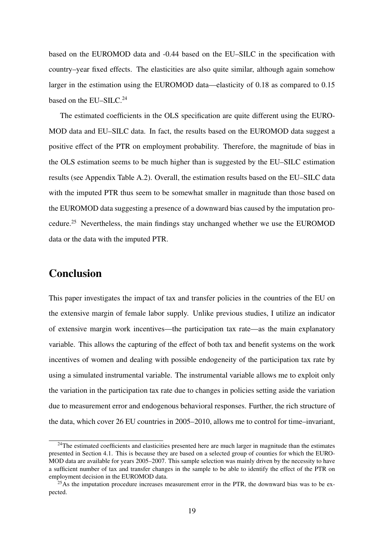based on the EUROMOD data and -0.44 based on the EU–SILC in the specification with country–year fixed effects. The elasticities are also quite similar, although again somehow larger in the estimation using the EUROMOD data—elasticity of 0.18 as compared to 0.15 based on the EU–SILC.<sup>24</sup>

The estimated coefficients in the OLS specification are quite different using the EURO-MOD data and EU–SILC data. In fact, the results based on the EUROMOD data suggest a positive effect of the PTR on employment probability. Therefore, the magnitude of bias in the OLS estimation seems to be much higher than is suggested by the EU–SILC estimation results (see Appendix Table A.2). Overall, the estimation results based on the EU–SILC data with the imputed PTR thus seem to be somewhat smaller in magnitude than those based on the EUROMOD data suggesting a presence of a downward bias caused by the imputation procedure.<sup>25</sup> Nevertheless, the main findings stay unchanged whether we use the EUROMOD data or the data with the imputed PTR.

# Conclusion

This paper investigates the impact of tax and transfer policies in the countries of the EU on the extensive margin of female labor supply. Unlike previous studies, I utilize an indicator of extensive margin work incentives—the participation tax rate—as the main explanatory variable. This allows the capturing of the effect of both tax and benefit systems on the work incentives of women and dealing with possible endogeneity of the participation tax rate by using a simulated instrumental variable. The instrumental variable allows me to exploit only the variation in the participation tax rate due to changes in policies setting aside the variation due to measurement error and endogenous behavioral responses. Further, the rich structure of the data, which cover 26 EU countries in 2005–2010, allows me to control for time–invariant,

<sup>&</sup>lt;sup>24</sup>The estimated coefficients and elasticities presented here are much larger in magnitude than the estimates presented in Section 4.1. This is because they are based on a selected group of counties for which the EURO-MOD data are available for years 2005–2007. This sample selection was mainly driven by the necessity to have a sufficient number of tax and transfer changes in the sample to be able to identify the effect of the PTR on employment decision in the EUROMOD data.

 $25\text{ As the imputation procedure increases measurement error in the PTR, the downward bias was to be ex$ pected.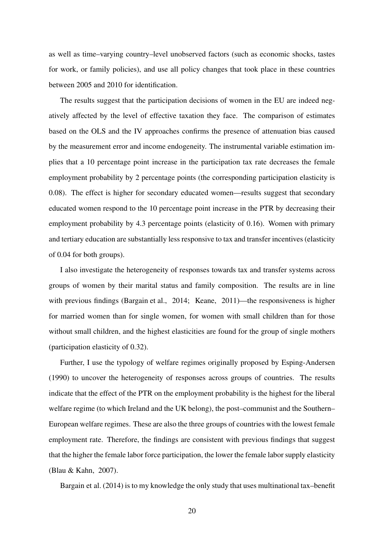as well as time–varying country–level unobserved factors (such as economic shocks, tastes for work, or family policies), and use all policy changes that took place in these countries between 2005 and 2010 for identification.

The results suggest that the participation decisions of women in the EU are indeed negatively affected by the level of effective taxation they face. The comparison of estimates based on the OLS and the IV approaches confirms the presence of attenuation bias caused by the measurement error and income endogeneity. The instrumental variable estimation implies that a 10 percentage point increase in the participation tax rate decreases the female employment probability by 2 percentage points (the corresponding participation elasticity is 0.08). The effect is higher for secondary educated women—results suggest that secondary educated women respond to the 10 percentage point increase in the PTR by decreasing their employment probability by 4.3 percentage points (elasticity of 0.16). Women with primary and tertiary education are substantially less responsive to tax and transfer incentives (elasticity of 0.04 for both groups).

I also investigate the heterogeneity of responses towards tax and transfer systems across groups of women by their marital status and family composition. The results are in line with previous findings (Bargain et al., 2014; Keane, 2011)—the responsiveness is higher for married women than for single women, for women with small children than for those without small children, and the highest elasticities are found for the group of single mothers (participation elasticity of 0.32).

Further, I use the typology of welfare regimes originally proposed by Esping-Andersen (1990) to uncover the heterogeneity of responses across groups of countries. The results indicate that the effect of the PTR on the employment probability is the highest for the liberal welfare regime (to which Ireland and the UK belong), the post–communist and the Southern– European welfare regimes. These are also the three groups of countries with the lowest female employment rate. Therefore, the findings are consistent with previous findings that suggest that the higher the female labor force participation, the lower the female labor supply elasticity (Blau & Kahn, 2007).

Bargain et al. (2014) is to my knowledge the only study that uses multinational tax–benefit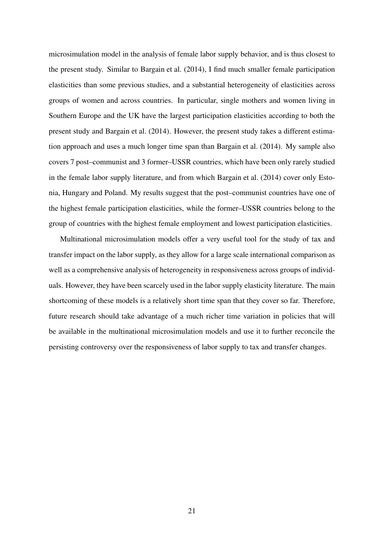microsimulation model in the analysis of female labor supply behavior, and is thus closest to the present study. Similar to Bargain et al. (2014), I find much smaller female participation elasticities than some previous studies, and a substantial heterogeneity of elasticities across groups of women and across countries. In particular, single mothers and women living in Southern Europe and the UK have the largest participation elasticities according to both the present study and Bargain et al. (2014). However, the present study takes a different estimation approach and uses a much longer time span than Bargain et al. (2014). My sample also covers 7 post–communist and 3 former–USSR countries, which have been only rarely studied in the female labor supply literature, and from which Bargain et al. (2014) cover only Estonia, Hungary and Poland. My results suggest that the post–communist countries have one of the highest female participation elasticities, while the former–USSR countries belong to the group of countries with the highest female employment and lowest participation elasticities.

Multinational microsimulation models offer a very useful tool for the study of tax and transfer impact on the labor supply, as they allow for a large scale international comparison as well as a comprehensive analysis of heterogeneity in responsiveness across groups of individuals. However, they have been scarcely used in the labor supply elasticity literature. The main shortcoming of these models is a relatively short time span that they cover so far. Therefore, future research should take advantage of a much richer time variation in policies that will be available in the multinational microsimulation models and use it to further reconcile the persisting controversy over the responsiveness of labor supply to tax and transfer changes.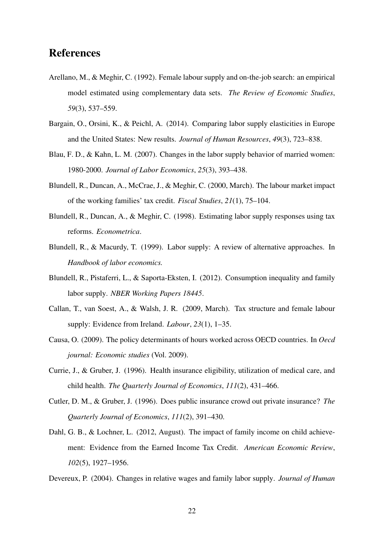## References

- Arellano, M., & Meghir, C. (1992). Female labour supply and on-the-job search: an empirical model estimated using complementary data sets. *The Review of Economic Studies*, *59*(3), 537–559.
- Bargain, O., Orsini, K., & Peichl, A. (2014). Comparing labor supply elasticities in Europe and the United States: New results. *Journal of Human Resources*, *49*(3), 723–838.
- Blau, F. D., & Kahn, L. M. (2007). Changes in the labor supply behavior of married women: 1980-2000. *Journal of Labor Economics*, *25*(3), 393–438.
- Blundell, R., Duncan, A., McCrae, J., & Meghir, C. (2000, March). The labour market impact of the working families' tax credit. *Fiscal Studies*, *21*(1), 75–104.
- Blundell, R., Duncan, A., & Meghir, C. (1998). Estimating labor supply responses using tax reforms. *Econometrica*.
- Blundell, R., & Macurdy, T. (1999). Labor supply: A review of alternative approaches. In *Handbook of labor economics.*
- Blundell, R., Pistaferri, L., & Saporta-Eksten, I. (2012). Consumption inequality and family labor supply. *NBER Working Papers 18445*.
- Callan, T., van Soest, A., & Walsh, J. R. (2009, March). Tax structure and female labour supply: Evidence from Ireland. *Labour*, *23*(1), 1–35.
- Causa, O. (2009). The policy determinants of hours worked across OECD countries. In *Oecd journal: Economic studies* (Vol. 2009).
- Currie, J., & Gruber, J. (1996). Health insurance eligibility, utilization of medical care, and child health. *The Quarterly Journal of Economics*, *111*(2), 431–466.
- Cutler, D. M., & Gruber, J. (1996). Does public insurance crowd out private insurance? *The Quarterly Journal of Economics*, *111*(2), 391–430.
- Dahl, G. B., & Lochner, L. (2012, August). The impact of family income on child achievement: Evidence from the Earned Income Tax Credit. *American Economic Review*, *102*(5), 1927–1956.
- Devereux, P. (2004). Changes in relative wages and family labor supply. *Journal of Human*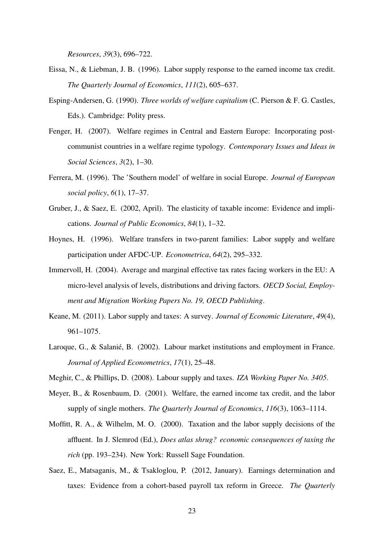*Resources*, *39*(3), 696–722.

- Eissa, N., & Liebman, J. B. (1996). Labor supply response to the earned income tax credit. *The Quarterly Journal of Economics*, *111*(2), 605–637.
- Esping-Andersen, G. (1990). *Three worlds of welfare capitalism* (C. Pierson & F. G. Castles, Eds.). Cambridge: Polity press.
- Fenger, H. (2007). Welfare regimes in Central and Eastern Europe: Incorporating postcommunist countries in a welfare regime typology. *Contemporary Issues and Ideas in Social Sciences*, *3*(2), 1–30.
- Ferrera, M. (1996). The 'Southern model' of welfare in social Europe. *Journal of European social policy*, *6*(1), 17–37.
- Gruber, J., & Saez, E. (2002, April). The elasticity of taxable income: Evidence and implications. *Journal of Public Economics*, *84*(1), 1–32.
- Hoynes, H. (1996). Welfare transfers in two-parent families: Labor supply and welfare participation under AFDC-UP. *Econometrica*, *64*(2), 295–332.
- Immervoll, H. (2004). Average and marginal effective tax rates facing workers in the EU: A micro-level analysis of levels, distributions and driving factors. *OECD Social, Employment and Migration Working Papers No. 19, OECD Publishing*.
- Keane, M. (2011). Labor supply and taxes: A survey. *Journal of Economic Literature*, *49*(4), 961–1075.
- Laroque, G., & Salanié, B. (2002). Labour market institutions and employment in France. *Journal of Applied Econometrics*, *17*(1), 25–48.
- Meghir, C., & Phillips, D. (2008). Labour supply and taxes. *IZA Working Paper No. 3405*.
- Meyer, B., & Rosenbaum, D. (2001). Welfare, the earned income tax credit, and the labor supply of single mothers. *The Quarterly Journal of Economics*, *116*(3), 1063–1114.
- Moffitt, R. A., & Wilhelm, M. O. (2000). Taxation and the labor supply decisions of the affluent. In J. Slemrod (Ed.), *Does atlas shrug? economic consequences of taxing the rich* (pp. 193–234). New York: Russell Sage Foundation.
- Saez, E., Matsaganis, M., & Tsakloglou, P. (2012, January). Earnings determination and taxes: Evidence from a cohort-based payroll tax reform in Greece. *The Quarterly*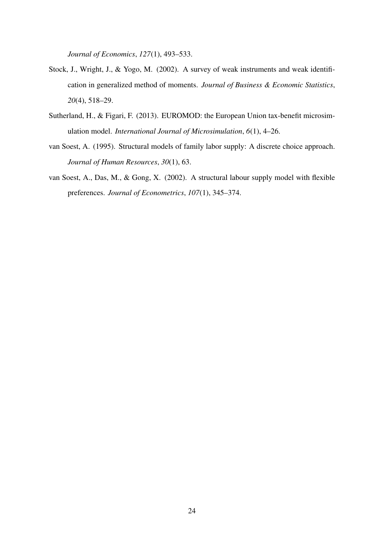*Journal of Economics*, *127*(1), 493–533.

- Stock, J., Wright, J., & Yogo, M. (2002). A survey of weak instruments and weak identification in generalized method of moments. *Journal of Business & Economic Statistics*, *20*(4), 518–29.
- Sutherland, H., & Figari, F. (2013). EUROMOD: the European Union tax-benefit microsimulation model. *International Journal of Microsimulation*, *6*(1), 4–26.
- van Soest, A. (1995). Structural models of family labor supply: A discrete choice approach. *Journal of Human Resources*, *30*(1), 63.
- van Soest, A., Das, M., & Gong, X. (2002). A structural labour supply model with flexible preferences. *Journal of Econometrics*, *107*(1), 345–374.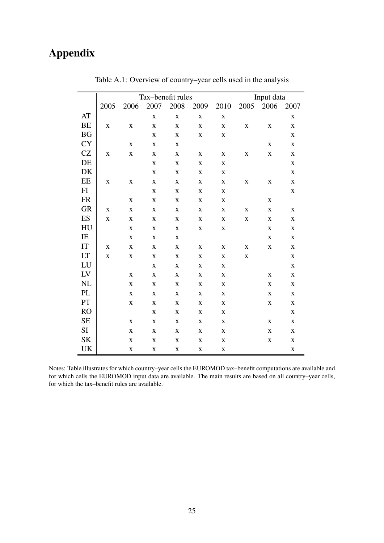# Appendix

|                     | Tax-benefit rules |             |                         |             |             |             | Input data  |             |             |
|---------------------|-------------------|-------------|-------------------------|-------------|-------------|-------------|-------------|-------------|-------------|
|                     | 2005              | 2006        | 2007                    | 2008        | 2009        | 2010        | 2005        | 2006        | 2007        |
| AT                  |                   |             | $\overline{\mathbf{X}}$ | $\mathbf X$ | $\mathbf X$ | $\mathbf X$ |             |             | $\mathbf X$ |
| <b>BE</b>           | $\mathbf X$       | $\mathbf X$ | $\mathbf X$             | $\mathbf X$ | $\mathbf X$ | $\mathbf X$ | $\mathbf X$ | $\mathbf X$ | $\mathbf X$ |
| BG                  |                   |             | $\mathbf X$             | $\mathbf X$ | $\mathbf X$ | $\mathbf X$ |             |             | $\mathbf X$ |
| <b>CY</b>           |                   | $\mathbf X$ | $\mathbf X$             | $\mathbf X$ |             |             |             | $\mathbf X$ | $\mathbf X$ |
| CZ                  | $\mathbf X$       | $\mathbf X$ | $\mathbf X$             | $\mathbf X$ | $\mathbf X$ | $\mathbf X$ | $\mathbf X$ | $\mathbf X$ | $\mathbf X$ |
| DE                  |                   |             | $\mathbf X$             | $\mathbf X$ | $\mathbf X$ | $\mathbf X$ |             |             | $\mathbf X$ |
| DK                  |                   |             | $\mathbf X$             | $\mathbf X$ | $\mathbf X$ | $\mathbf X$ |             |             | $\mathbf X$ |
| $\rm{EE}$           | $\mathbf X$       | $\mathbf X$ | $\mathbf X$             | $\mathbf X$ | X           | $\mathbf X$ | $\mathbf X$ | X           | $\mathbf X$ |
| FI                  |                   |             | $\mathbf X$             | $\mathbf X$ | X           | $\mathbf X$ |             |             | $\mathbf X$ |
| <b>FR</b>           |                   | $\mathbf X$ | $\mathbf X$             | $\mathbf X$ | $\mathbf X$ | $\mathbf X$ |             | X           |             |
| <b>GR</b>           | $\mathbf X$       | $\mathbf X$ | $\mathbf X$             | $\mathbf X$ | $\mathbf X$ | $\mathbf X$ | $\mathbf X$ | $\mathbf X$ | $\mathbf X$ |
| ES                  | $\mathbf X$       | $\mathbf X$ | $\mathbf X$             | $\mathbf X$ | $\mathbf X$ | $\mathbf X$ | $\mathbf X$ | $\mathbf X$ | $\mathbf X$ |
| HU                  |                   | $\mathbf X$ | $\mathbf X$             | $\mathbf X$ | $\mathbf X$ | $\mathbf X$ |             | $\mathbf X$ | $\mathbf X$ |
| IE                  |                   | $\mathbf X$ | $\mathbf X$             | $\mathbf X$ |             |             |             | $\mathbf X$ | $\mathbf X$ |
| $\operatorname{IT}$ | $\mathbf X$       | $\mathbf X$ | $\mathbf X$             | $\mathbf X$ | $\mathbf X$ | $\mathbf X$ | $\mathbf X$ | $\mathbf X$ | $\mathbf X$ |
| LT                  | $\mathbf X$       | $\mathbf X$ | $\mathbf X$             | $\mathbf X$ | $\mathbf X$ | $\mathbf X$ | $\mathbf X$ |             | $\mathbf X$ |
| ${\rm LU}$          |                   |             | $\mathbf X$             | $\mathbf X$ | $\mathbf X$ | $\mathbf X$ |             |             | $\mathbf X$ |
| ${\rm LV}$          |                   | $\mathbf X$ | $\mathbf X$             | $\mathbf X$ | $\mathbf X$ | $\mathbf X$ |             | $\mathbf X$ | $\mathbf X$ |
| $\rm NL$            |                   | $\mathbf X$ | $\mathbf X$             | $\mathbf X$ | $\mathbf X$ | $\mathbf X$ |             | $\mathbf X$ | $\mathbf X$ |
| PL                  |                   | $\mathbf X$ | $\mathbf X$             | $\mathbf X$ | $\mathbf X$ | $\mathbf X$ |             | $\mathbf X$ | $\mathbf X$ |
| $\mathbf{PT}$       |                   | $\mathbf X$ | $\mathbf X$             | $\mathbf X$ | $\mathbf X$ | $\mathbf X$ |             | $\mathbf X$ | $\mathbf X$ |
| <b>RO</b>           |                   |             | $\mathbf X$             | $\mathbf X$ | $\mathbf X$ | $\mathbf X$ |             |             | $\mathbf X$ |
| <b>SE</b>           |                   | $\mathbf X$ | $\mathbf X$             | $\mathbf X$ | $\mathbf X$ | $\mathbf X$ |             | $\mathbf X$ | $\mathbf X$ |
| SI                  |                   | $\mathbf X$ | X                       | $\mathbf X$ | X           | $\mathbf X$ |             | $\mathbf X$ | X           |
| <b>SK</b>           |                   | $\mathbf X$ | $\mathbf X$             | $\mathbf X$ | $\mathbf X$ | $\mathbf X$ |             | $\mathbf X$ | $\mathbf X$ |
| UK                  |                   | $\mathbf X$ | $\mathbf X$             | $\mathbf X$ | $\mathbf X$ | $\mathbf X$ |             |             | $\mathbf X$ |

Table A.1: Overview of country–year cells used in the analysis

Notes: Table illustrates for which country–year cells the EUROMOD tax–benefit computations are available and for which cells the EUROMOD input data are available. The main results are based on all country–year cells, for which the tax–benefit rules are available.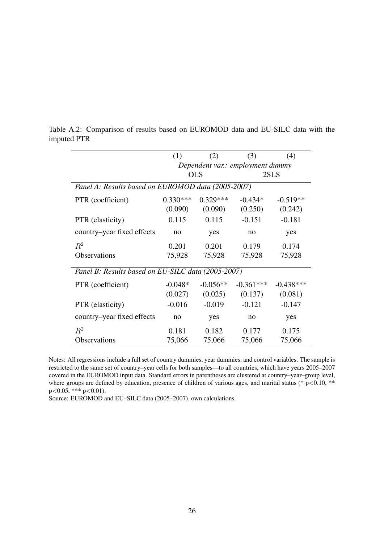|                                                    | (1)                              | (2)        | (3)         | (4)         |  |  |  |
|----------------------------------------------------|----------------------------------|------------|-------------|-------------|--|--|--|
|                                                    | Dependent var.: employment dummy |            |             |             |  |  |  |
|                                                    |                                  | <b>OLS</b> |             | 2SLS        |  |  |  |
| Panel A: Results based on EUROMOD data (2005-2007) |                                  |            |             |             |  |  |  |
| PTR (coefficient)                                  | $0.330***$                       | $0.329***$ | $-0.434*$   | $-0.519**$  |  |  |  |
|                                                    | (0.090)                          | (0.090)    | (0.250)     | (0.242)     |  |  |  |
| PTR (elasticity)                                   | 0.115                            | 0.115      | $-0.151$    | $-0.181$    |  |  |  |
| country-year fixed effects                         | no                               | yes        | no          | yes         |  |  |  |
| $R^2$                                              | 0.201                            | 0.201      | 0.179       | 0.174       |  |  |  |
| <b>Observations</b>                                | 75,928                           | 75,928     | 75,928      | 75,928      |  |  |  |
| Panel B: Results based on EU-SILC data (2005-2007) |                                  |            |             |             |  |  |  |
| PTR (coefficient)                                  | $-0.048*$                        | $-0.056**$ | $-0.361***$ | $-0.438***$ |  |  |  |
|                                                    | (0.027)                          | (0.025)    | (0.137)     | (0.081)     |  |  |  |
| PTR (elasticity)                                   | $-0.016$                         | $-0.019$   | $-0.121$    | $-0.147$    |  |  |  |
| country–year fixed effects                         | no                               | yes        | no          | yes         |  |  |  |
| $R^2$                                              | 0.181                            | 0.182      | 0.177       | 0.175       |  |  |  |
| Observations                                       | 75,066                           | 75,066     | 75,066      | 75,066      |  |  |  |

Table A.2: Comparison of results based on EUROMOD data and EU-SILC data with the imputed PTR

Notes: All regressions include a full set of country dummies, year dummies, and control variables. The sample is restricted to the same set of country–year cells for both samples—to all countries, which have years 2005–2007 covered in the EUROMOD input data. Standard errors in parentheses are clustered at country–year–group level, where groups are defined by education, presence of children of various ages, and marital status (\* p<0.10, \*\* p*<*0.05, \*\*\* p*<*0.01).

Source: EUROMOD and EU–SILC data (2005–2007), own calculations.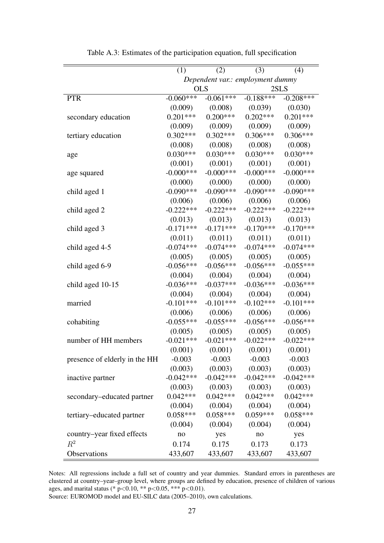|                               | (1)                              | (2)          | (3)          | (4)          |  |
|-------------------------------|----------------------------------|--------------|--------------|--------------|--|
|                               | Dependent var.: employment dummy |              |              |              |  |
|                               |                                  | <b>OLS</b>   |              | 2SLS         |  |
| <b>PTR</b>                    | $-0.060***$                      | $-0.061***$  | $-0.188***$  | $-0.208***$  |  |
|                               | (0.009)                          | (0.008)      | (0.039)      | (0.030)      |  |
| secondary education           | $0.201***$                       | $0.200***$   | $0.202***$   | $0.201***$   |  |
|                               | (0.009)                          | (0.009)      | (0.009)      | (0.009)      |  |
| tertiary education            | $0.302***$                       | $0.302***$   | $0.306***$   | $0.306***$   |  |
|                               | (0.008)                          | (0.008)      | (0.008)      | (0.008)      |  |
| age                           | $0.030***$                       | $0.030***$   | $0.030***$   | $0.030***$   |  |
|                               | (0.001)                          | (0.001)      | (0.001)      | (0.001)      |  |
| age squared                   | $-0.000$ ***                     | $-0.000$ *** | $-0.000$ *** | $-0.000$ *** |  |
|                               | (0.000)                          | (0.000)      | (0.000)      | (0.000)      |  |
| child aged 1                  | $-0.090***$                      | $-0.090***$  | $-0.090***$  | $-0.090***$  |  |
|                               | (0.006)                          | (0.006)      | (0.006)      | (0.006)      |  |
| child aged 2                  | $-0.222***$                      | $-0.222***$  | $-0.222***$  | $-0.222***$  |  |
|                               | (0.013)                          | (0.013)      | (0.013)      | (0.013)      |  |
| child aged 3                  | $-0.171***$                      | $-0.171***$  | $-0.170***$  | $-0.170***$  |  |
|                               | (0.011)                          | (0.011)      | (0.011)      | (0.011)      |  |
| child aged 4-5                | $-0.074***$                      | $-0.074***$  | $-0.074***$  | $-0.074***$  |  |
|                               | (0.005)                          | (0.005)      | (0.005)      | (0.005)      |  |
| child aged 6-9                | $-0.056***$                      | $-0.056***$  | $-0.056***$  | $-0.055***$  |  |
|                               | (0.004)                          | (0.004)      | (0.004)      | (0.004)      |  |
| child aged 10-15              | $-0.036***$                      | $-0.037***$  | $-0.036***$  | $-0.036***$  |  |
|                               | (0.004)                          | (0.004)      | (0.004)      | (0.004)      |  |
| married                       | $-0.101***$                      | $-0.101***$  | $-0.102***$  | $-0.101***$  |  |
|                               | (0.006)                          | (0.006)      | (0.006)      | (0.006)      |  |
| cohabiting                    | $-0.055***$                      | $-0.055***$  | $-0.056***$  | $-0.056***$  |  |
|                               | (0.005)                          | (0.005)      | (0.005)      | (0.005)      |  |
| number of HH members          | $-0.021***$                      | $-0.021***$  | $-0.022***$  | $-0.022***$  |  |
|                               | (0.001)                          | (0.001)      | (0.001)      | (0.001)      |  |
| presence of elderly in the HH | $-0.003$                         | $-0.003$     | $-0.003$     | $-0.003$     |  |
|                               | (0.003)                          | (0.003)      | (0.003)      | (0.003)      |  |
| inactive partner              | $-0.042***$                      | $-0.042***$  | $-0.042***$  | $-0.042***$  |  |
|                               | (0.003)                          | (0.003)      | (0.003)      | (0.003)      |  |
| secondary-educated partner    | $0.042***$                       | $0.042***$   | $0.042***$   | $0.042***$   |  |
|                               | (0.004)                          | (0.004)      | (0.004)      | (0.004)      |  |
| tertiary-educated partner     | $0.058***$                       | $0.058***$   | $0.059***$   | $0.058***$   |  |
|                               | (0.004)                          | (0.004)      | (0.004)      | (0.004)      |  |
| country-year fixed effects    | no                               | yes          | no           | yes          |  |
| $R^2$                         | 0.174                            | 0.175        | 0.173        | 0.173        |  |
| Observations                  | 433,607                          | 433,607      | 433,607      | 433,607      |  |

Table A.3: Estimates of the participation equation, full specification

Notes: All regressions include a full set of country and year dummies. Standard errors in parentheses are clustered at country–year–group level, where groups are defined by education, presence of children of various ages, and marital status (\* p*<*0.10, \*\* p*<*0.05, \*\*\* p*<*0.01).

Source: EUROMOD model and EU-SILC data (2005–2010), own calculations.